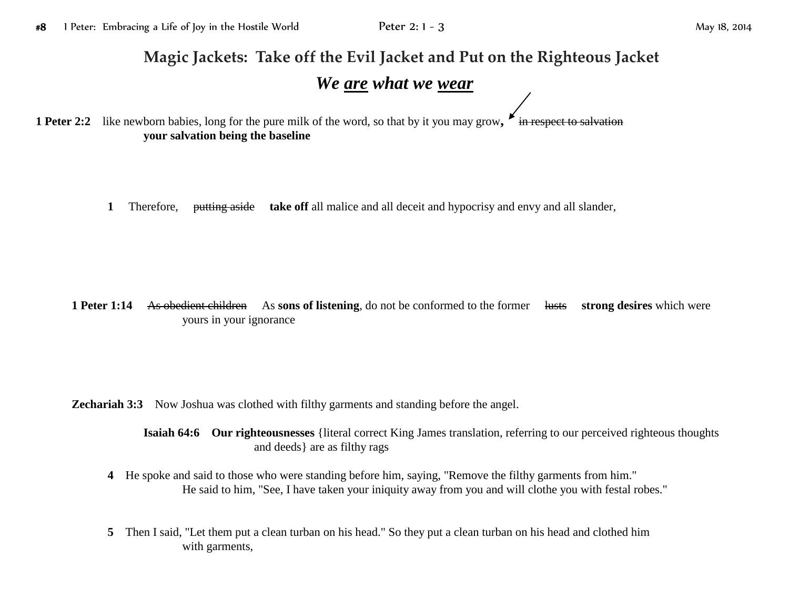## **Magic Jackets: Take off the Evil Jacket and Put on the Righteous Jacket**

## *We are what we wear*

**1 Peter 2:2** like newborn babies, long for the pure milk of the word, so that by it you may grow, **F** in respect to salvation **your salvation being the baseline**

**1** Therefore, putting aside **take off** all malice and all deceit and hypocrisy and envy and all slander,

**1 Peter 1:14** As obedient children As **sons of listening**, do not be conformed to the former lusts **strong desires** which were yours in your ignorance

**Zechariah 3:3** Now Joshua was clothed with filthy garments and standing before the angel.

**Isaiah 64:6 Our righteousnesses** {literal correct King James translation, referring to our perceived righteous thoughts and deeds} are as filthy rags

- **4** He spoke and said to those who were standing before him, saying, "Remove the filthy garments from him." He said to him, "See, I have taken your iniquity away from you and will clothe you with festal robes."
- **5** Then I said, "Let them put a clean turban on his head." So they put a clean turban on his head and clothed him with garments,